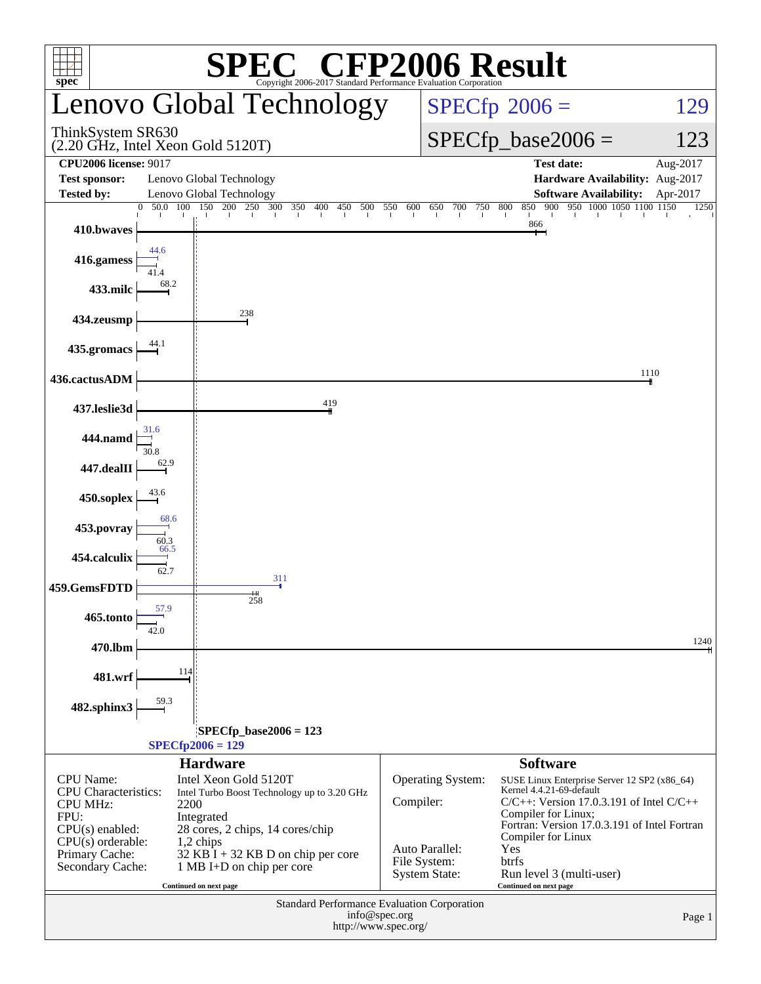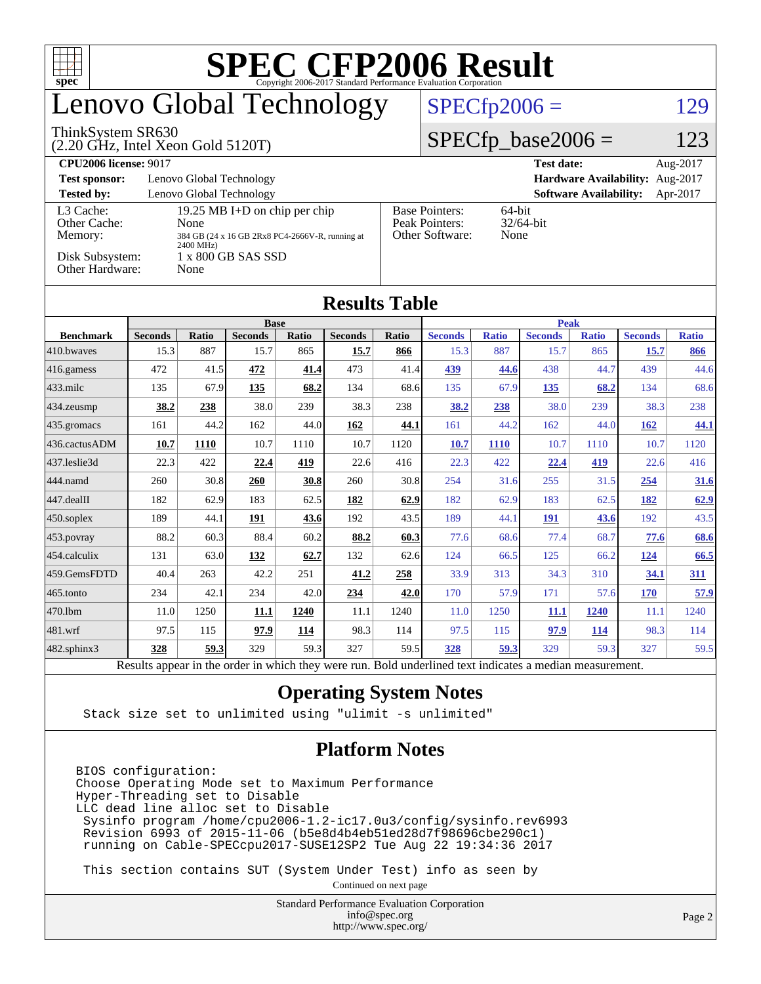| ĦП<br>$spec^*$                                                                             |                                                 |                               |                |       |                |       |                                                                |              |                |              |                |              |  |
|--------------------------------------------------------------------------------------------|-------------------------------------------------|-------------------------------|----------------|-------|----------------|-------|----------------------------------------------------------------|--------------|----------------|--------------|----------------|--------------|--|
| enovo Global Technology                                                                    |                                                 |                               |                |       |                |       | $SPECfp2006 =$<br>129                                          |              |                |              |                |              |  |
| ThinkSystem SR630<br>$(2.20 \text{ GHz}, \text{Intel Xeon Gold } 5120 \text{T})$           |                                                 |                               |                |       |                |       | $SPECfp\_base2006 =$<br>123                                    |              |                |              |                |              |  |
| <b>CPU2006 license: 9017</b>                                                               |                                                 | <b>Test date:</b><br>Aug-2017 |                |       |                |       |                                                                |              |                |              |                |              |  |
| Lenovo Global Technology<br><b>Test sponsor:</b><br>Hardware Availability: Aug-2017        |                                                 |                               |                |       |                |       |                                                                |              |                |              |                |              |  |
| <b>Tested by:</b><br>Lenovo Global Technology<br><b>Software Availability:</b><br>Apr-2017 |                                                 |                               |                |       |                |       |                                                                |              |                |              |                |              |  |
| L3 Cache:<br>Other Cache:                                                                  | 19.25 MB I+D on chip per chip<br>None           |                               |                |       |                |       | <b>Base Pointers:</b><br>64-bit<br>Peak Pointers:<br>32/64-bit |              |                |              |                |              |  |
| Memory:                                                                                    | 384 GB (24 x 16 GB 2Rx8 PC4-2666V-R, running at |                               |                |       |                |       | Other Software:<br>None                                        |              |                |              |                |              |  |
| 2400 MHz)<br>Disk Subsystem:<br>1 x 800 GB SAS SSD                                         |                                                 |                               |                |       |                |       |                                                                |              |                |              |                |              |  |
| Other Hardware:<br>None                                                                    |                                                 |                               |                |       |                |       |                                                                |              |                |              |                |              |  |
|                                                                                            |                                                 |                               |                |       |                |       |                                                                |              |                |              |                |              |  |
| <b>Results Table</b>                                                                       |                                                 |                               |                |       |                |       |                                                                |              |                |              |                |              |  |
|                                                                                            | <b>Base</b>                                     |                               |                |       |                |       |                                                                | <b>Peak</b>  |                |              |                |              |  |
| <b>Benchmark</b>                                                                           | <b>Seconds</b>                                  | <b>Ratio</b>                  | <b>Seconds</b> | Ratio | <b>Seconds</b> | Ratio | <b>Seconds</b>                                                 | <b>Ratio</b> | <b>Seconds</b> | <b>Ratio</b> | <b>Seconds</b> | <b>Ratio</b> |  |
| 410.bwayes                                                                                 | 15.3                                            | 887                           | 15.7           | 865   | 15.7           | 866   | 15.3                                                           | 887          | 15.7           | 865          | 15.7           | 866          |  |
| 416.gamess                                                                                 | 472                                             | 41.5                          | 472            | 41.4  | 473            | 41.4  | 439                                                            | 44.6         | 438            | 44.7         | 439            | 44.6         |  |
| $433$ .milc                                                                                | 135                                             | 67.9                          | 135            | 68.2  | 134            | 68.6  | 135                                                            | 67.9         | 135            | 68.2         | 134            | 68.6         |  |
| 434.zeusmp                                                                                 | 38.2                                            | 238                           | 38.0           | 239   | 38.3           | 238   | 38.2                                                           | 238          | 38.0           | 239          | 38.3           | 238          |  |
| 435.gromacs                                                                                | 161                                             | 44.2                          | 162            | 44.0  | 162            | 44.1  | 161                                                            | 44.2         | 162            | 44.0         | <b>162</b>     | 44.1         |  |
| 436.cactusADM                                                                              | 10.7                                            | 1110                          | 10.7           | 1110  | 10.7           | 1120  | 10.7                                                           | <b>1110</b>  | 10.7           | 1110         | 10.7           | 1120         |  |
| 437.leslie3d                                                                               | 22.3                                            | 422                           | 22.4           | 419   | 22.6           | 416   | 22.3                                                           | 422          | 22.4           | 419          | 22.6           | 416          |  |
| 444.namd                                                                                   | 260                                             | 30.8                          | 260            | 30.8  | 260            | 30.8  | 254                                                            | 31.6         | 255            | 31.5         | 254            | 31.6         |  |
| 447.dealII                                                                                 | 182                                             | 62.9                          | 183            | 62.5  | 182            | 62.9  | 182                                                            | 62.9         | 183            | 62.5         | 182            | 62.9         |  |
| 450.soplex                                                                                 | 189                                             | 44.1                          | 191            | 43.6  | 192            | 43.5  | 189                                                            | 44.1         | 191            | 43.6         | 192            | 43.5         |  |
| 453.povray                                                                                 | 88.2                                            | 60.3                          | 88.4           | 60.2  | 88.2           | 60.3  | 77.6                                                           | 68.6         | 77.4           | 68.7         | 77.6           | 68.6         |  |
| 454.calculix                                                                               | 131                                             | 63.0                          | 132            | 62.7  | 132            | 62.6  | 124                                                            | 66.5         | 125            | 66.2         | 124            | 66.5         |  |
| 459.GemsFDTD                                                                               | 40.4                                            | 263                           | 42.2           | 251   | 41.2           | 258   | 33.9                                                           | 313          | 34.3           | 310          | 34.1           | 311          |  |
| 465.tonto                                                                                  | 234                                             | 42.1                          | 234            | 42.0  | 234            | 42.0  | 170                                                            | 57.9         | 171            | 57.6         | <b>170</b>     | 57.9         |  |
| 470.1bm                                                                                    | 11.0                                            | 1250                          | <b>11.1</b>    | 1240  | 11.1           | 1240  | 11.0                                                           | 1250         | <b>11.1</b>    | 1240         | 11.1           | 1240         |  |
| 481.wrf                                                                                    | 97.5                                            | 115                           | 97.9           | 114   | 98.3           | 114   | 97.5                                                           | 115          | 97.9           | 114          | 98.3           | 114          |  |
| $482$ .sphinx $3$                                                                          | 328                                             | 59.3                          | 329            | 59.3  | 327            | 59.5  | 328                                                            | 59.3         | 329            | 59.3         | 327            | 59.5         |  |

Results appear in the [order in which they were run.](http://www.spec.org/auto/cpu2006/Docs/result-fields.html#RunOrder) Bold underlined text [indicates a median measurement.](http://www.spec.org/auto/cpu2006/Docs/result-fields.html#Median)

#### **[Operating System Notes](http://www.spec.org/auto/cpu2006/Docs/result-fields.html#OperatingSystemNotes)**

Stack size set to unlimited using "ulimit -s unlimited"

#### **[Platform Notes](http://www.spec.org/auto/cpu2006/Docs/result-fields.html#PlatformNotes)**

BIOS configuration: Choose Operating Mode set to Maximum Performance Hyper-Threading set to Disable LLC dead line alloc set to Disable Sysinfo program /home/cpu2006-1.2-ic17.0u3/config/sysinfo.rev6993 Revision 6993 of 2015-11-06 (b5e8d4b4eb51ed28d7f98696cbe290c1) running on Cable-SPECcpu2017-SUSE12SP2 Tue Aug 22 19:34:36 2017

This section contains SUT (System Under Test) info as seen by

Continued on next page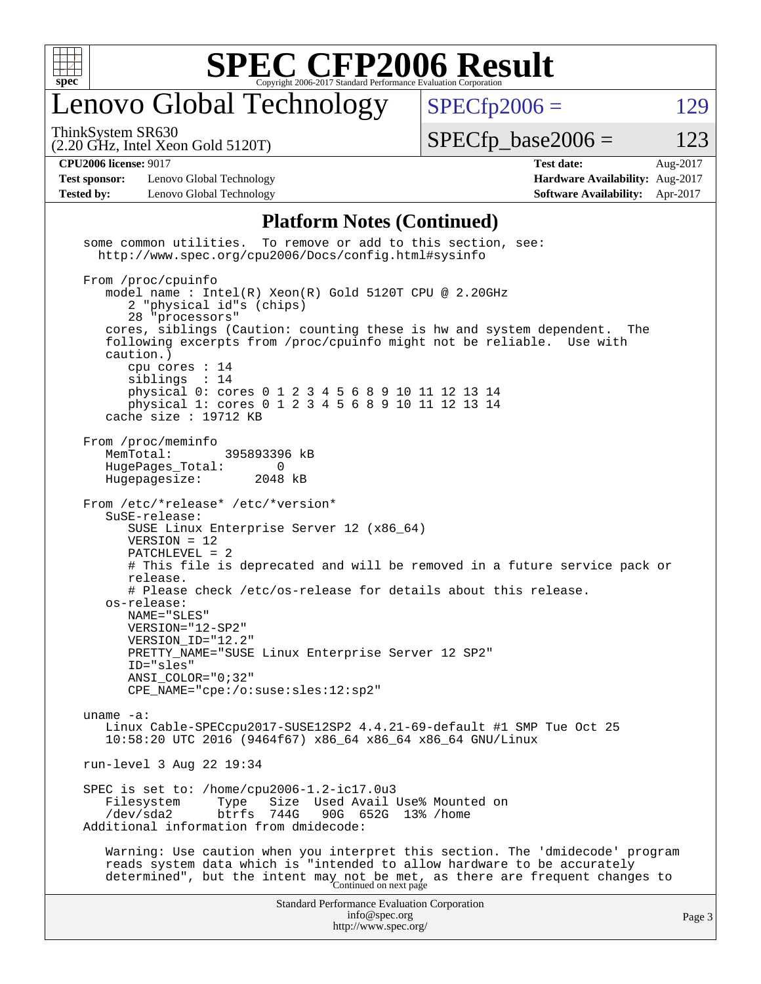

## enovo Global Technology

ThinkSystem SR630

 $SPECTp2006 = 129$ 

(2.20 GHz, Intel Xeon Gold 5120T)

 $SPECTp\_base2006 = 123$ 

**[Test sponsor:](http://www.spec.org/auto/cpu2006/Docs/result-fields.html#Testsponsor)** Lenovo Global Technology **[Hardware Availability:](http://www.spec.org/auto/cpu2006/Docs/result-fields.html#HardwareAvailability)** Aug-2017 **[Tested by:](http://www.spec.org/auto/cpu2006/Docs/result-fields.html#Testedby)** Lenovo Global Technology **[Software Availability:](http://www.spec.org/auto/cpu2006/Docs/result-fields.html#SoftwareAvailability)** Apr-2017

**[CPU2006 license:](http://www.spec.org/auto/cpu2006/Docs/result-fields.html#CPU2006license)** 9017 **[Test date:](http://www.spec.org/auto/cpu2006/Docs/result-fields.html#Testdate)** Aug-2017

#### **[Platform Notes \(Continued\)](http://www.spec.org/auto/cpu2006/Docs/result-fields.html#PlatformNotes)**

Standard Performance Evaluation Corporation [info@spec.org](mailto:info@spec.org) <http://www.spec.org/> Page 3 some common utilities. To remove or add to this section, see: <http://www.spec.org/cpu2006/Docs/config.html#sysinfo> From /proc/cpuinfo model name : Intel(R) Xeon(R) Gold 5120T CPU @ 2.20GHz 2 "physical id"s (chips) 28 "processors" cores, siblings (Caution: counting these is hw and system dependent. The following excerpts from /proc/cpuinfo might not be reliable. Use with caution.) cpu cores : 14 siblings physical 0: cores 0 1 2 3 4 5 6 8 9 10 11 12 13 14 physical 1: cores 0 1 2 3 4 5 6 8 9 10 11 12 13 14 cache size : 19712 KB From /proc/meminfo MemTotal: 395893396 kB HugePages\_Total: 0<br>Hugepagesize: 2048 kB Hugepagesize: From /etc/\*release\* /etc/\*version\* SuSE-release: SUSE Linux Enterprise Server 12 (x86\_64) VERSION = 12 PATCHLEVEL = 2 # This file is deprecated and will be removed in a future service pack or release. # Please check /etc/os-release for details about this release. os-release: NAME="SLES" VERSION="12-SP2" VERSION\_ID="12.2" PRETTY\_NAME="SUSE Linux Enterprise Server 12 SP2" ID="sles" ANSI\_COLOR="0;32" CPE\_NAME="cpe:/o:suse:sles:12:sp2" uname -a: Linux Cable-SPECcpu2017-SUSE12SP2 4.4.21-69-default #1 SMP Tue Oct 25 10:58:20 UTC 2016 (9464f67) x86\_64 x86\_64 x86\_64 GNU/Linux run-level 3 Aug 22 19:34 SPEC is set to: /home/cpu2006-1.2-ic17.0u3 Filesystem Type Size Used Avail Use% Mounted on<br>
/dev/sda2 btrfs 744G 90G 652G 13% /home 90G 652G 13% /home Additional information from dmidecode: Warning: Use caution when you interpret this section. The 'dmidecode' program reads system data which is "intended to allow hardware to be accurately determined", but the intent may not be met, as there are frequent changes to<br>Continued on next page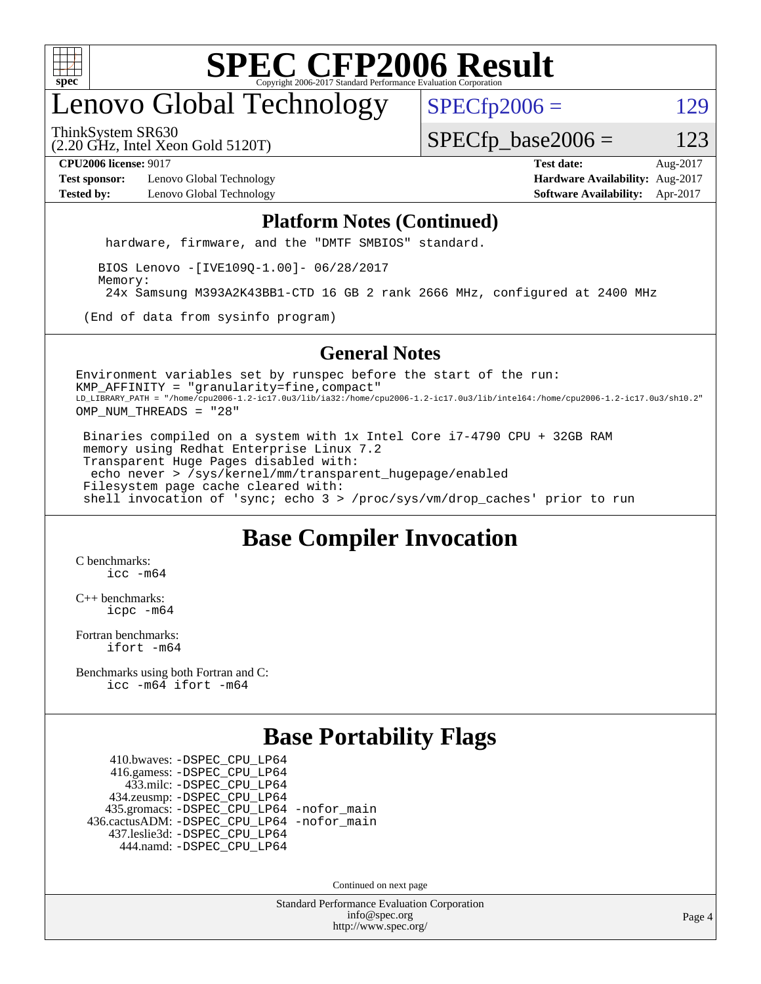

## enovo Global Technology

 $SPECTp2006 = 129$ 

ThinkSystem SR630

(2.20 GHz, Intel Xeon Gold 5120T)

 $SPECTp\_base2006 = 123$ 

**[Test sponsor:](http://www.spec.org/auto/cpu2006/Docs/result-fields.html#Testsponsor)** Lenovo Global Technology **[Hardware Availability:](http://www.spec.org/auto/cpu2006/Docs/result-fields.html#HardwareAvailability)** Aug-2017 **[Tested by:](http://www.spec.org/auto/cpu2006/Docs/result-fields.html#Testedby)** Lenovo Global Technology **[Software Availability:](http://www.spec.org/auto/cpu2006/Docs/result-fields.html#SoftwareAvailability)** Apr-2017

**[CPU2006 license:](http://www.spec.org/auto/cpu2006/Docs/result-fields.html#CPU2006license)** 9017 **[Test date:](http://www.spec.org/auto/cpu2006/Docs/result-fields.html#Testdate)** Aug-2017

#### **[Platform Notes \(Continued\)](http://www.spec.org/auto/cpu2006/Docs/result-fields.html#PlatformNotes)**

hardware, firmware, and the "DMTF SMBIOS" standard.

 BIOS Lenovo -[IVE109Q-1.00]- 06/28/2017 Memory: 24x Samsung M393A2K43BB1-CTD 16 GB 2 rank 2666 MHz, configured at 2400 MHz

(End of data from sysinfo program)

#### **[General Notes](http://www.spec.org/auto/cpu2006/Docs/result-fields.html#GeneralNotes)**

Environment variables set by runspec before the start of the run: KMP\_AFFINITY = "granularity=fine,compact" LD\_LIBRARY\_PATH = "/home/cpu2006-1.2-ic17.0u3/lib/ia32:/home/cpu2006-1.2-ic17.0u3/lib/intel64:/home/cpu2006-1.2-ic17.0u3/sh10.2" OMP\_NUM\_THREADS = "28"

 Binaries compiled on a system with 1x Intel Core i7-4790 CPU + 32GB RAM memory using Redhat Enterprise Linux 7.2 Transparent Huge Pages disabled with: echo never > /sys/kernel/mm/transparent\_hugepage/enabled Filesystem page cache cleared with: shell invocation of 'sync; echo 3 > /proc/sys/vm/drop\_caches' prior to run

#### **[Base Compiler Invocation](http://www.spec.org/auto/cpu2006/Docs/result-fields.html#BaseCompilerInvocation)**

[C benchmarks](http://www.spec.org/auto/cpu2006/Docs/result-fields.html#Cbenchmarks): [icc -m64](http://www.spec.org/cpu2006/results/res2017q4/cpu2006-20170918-49506.flags.html#user_CCbase_intel_icc_64bit_bda6cc9af1fdbb0edc3795bac97ada53)

[C++ benchmarks:](http://www.spec.org/auto/cpu2006/Docs/result-fields.html#CXXbenchmarks) [icpc -m64](http://www.spec.org/cpu2006/results/res2017q4/cpu2006-20170918-49506.flags.html#user_CXXbase_intel_icpc_64bit_fc66a5337ce925472a5c54ad6a0de310)

[Fortran benchmarks](http://www.spec.org/auto/cpu2006/Docs/result-fields.html#Fortranbenchmarks): [ifort -m64](http://www.spec.org/cpu2006/results/res2017q4/cpu2006-20170918-49506.flags.html#user_FCbase_intel_ifort_64bit_ee9d0fb25645d0210d97eb0527dcc06e)

[Benchmarks using both Fortran and C](http://www.spec.org/auto/cpu2006/Docs/result-fields.html#BenchmarksusingbothFortranandC): [icc -m64](http://www.spec.org/cpu2006/results/res2017q4/cpu2006-20170918-49506.flags.html#user_CC_FCbase_intel_icc_64bit_bda6cc9af1fdbb0edc3795bac97ada53) [ifort -m64](http://www.spec.org/cpu2006/results/res2017q4/cpu2006-20170918-49506.flags.html#user_CC_FCbase_intel_ifort_64bit_ee9d0fb25645d0210d97eb0527dcc06e)

#### **[Base Portability Flags](http://www.spec.org/auto/cpu2006/Docs/result-fields.html#BasePortabilityFlags)**

 410.bwaves: [-DSPEC\\_CPU\\_LP64](http://www.spec.org/cpu2006/results/res2017q4/cpu2006-20170918-49506.flags.html#suite_basePORTABILITY410_bwaves_DSPEC_CPU_LP64) 416.gamess: [-DSPEC\\_CPU\\_LP64](http://www.spec.org/cpu2006/results/res2017q4/cpu2006-20170918-49506.flags.html#suite_basePORTABILITY416_gamess_DSPEC_CPU_LP64) 433.milc: [-DSPEC\\_CPU\\_LP64](http://www.spec.org/cpu2006/results/res2017q4/cpu2006-20170918-49506.flags.html#suite_basePORTABILITY433_milc_DSPEC_CPU_LP64) 434.zeusmp: [-DSPEC\\_CPU\\_LP64](http://www.spec.org/cpu2006/results/res2017q4/cpu2006-20170918-49506.flags.html#suite_basePORTABILITY434_zeusmp_DSPEC_CPU_LP64) 435.gromacs: [-DSPEC\\_CPU\\_LP64](http://www.spec.org/cpu2006/results/res2017q4/cpu2006-20170918-49506.flags.html#suite_basePORTABILITY435_gromacs_DSPEC_CPU_LP64) [-nofor\\_main](http://www.spec.org/cpu2006/results/res2017q4/cpu2006-20170918-49506.flags.html#user_baseLDPORTABILITY435_gromacs_f-nofor_main) 436.cactusADM: [-DSPEC\\_CPU\\_LP64](http://www.spec.org/cpu2006/results/res2017q4/cpu2006-20170918-49506.flags.html#suite_basePORTABILITY436_cactusADM_DSPEC_CPU_LP64) [-nofor\\_main](http://www.spec.org/cpu2006/results/res2017q4/cpu2006-20170918-49506.flags.html#user_baseLDPORTABILITY436_cactusADM_f-nofor_main) 437.leslie3d: [-DSPEC\\_CPU\\_LP64](http://www.spec.org/cpu2006/results/res2017q4/cpu2006-20170918-49506.flags.html#suite_basePORTABILITY437_leslie3d_DSPEC_CPU_LP64) 444.namd: [-DSPEC\\_CPU\\_LP64](http://www.spec.org/cpu2006/results/res2017q4/cpu2006-20170918-49506.flags.html#suite_basePORTABILITY444_namd_DSPEC_CPU_LP64)

Continued on next page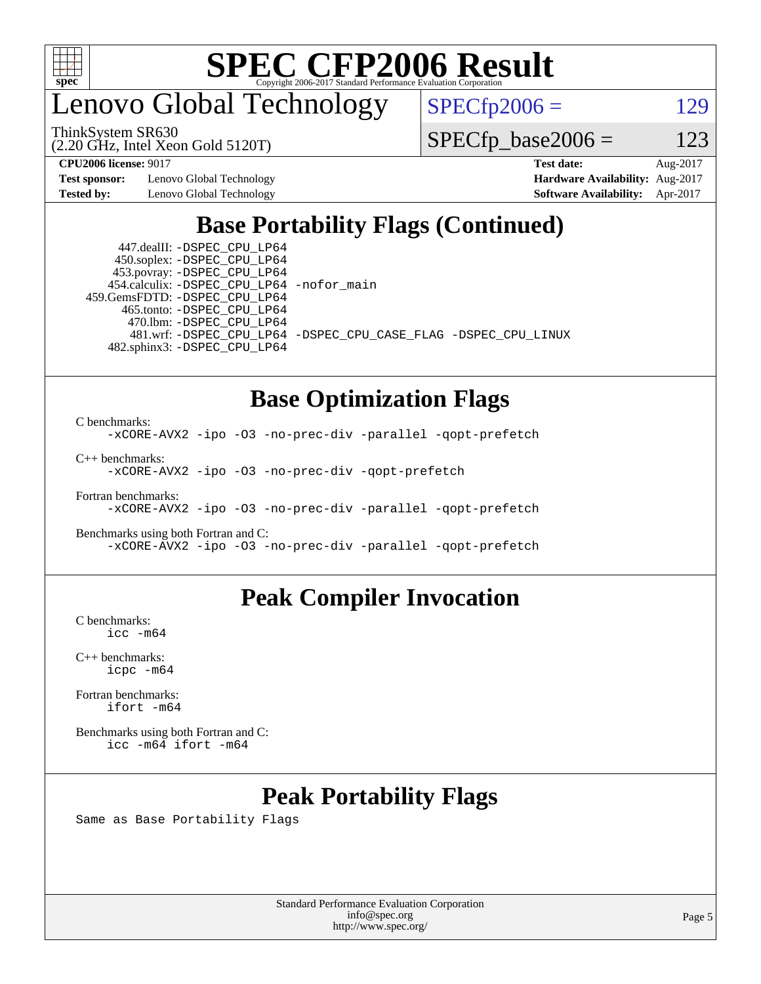

## enovo Global Technology

ThinkSystem SR630

(2.20 GHz, Intel Xeon Gold 5120T)

 $SPECfp2006 = 129$  $SPECfp2006 = 129$ 

 $SPECTp\_base2006 = 123$ 

**[Test sponsor:](http://www.spec.org/auto/cpu2006/Docs/result-fields.html#Testsponsor)** Lenovo Global Technology **[Hardware Availability:](http://www.spec.org/auto/cpu2006/Docs/result-fields.html#HardwareAvailability)** Aug-2017

**[CPU2006 license:](http://www.spec.org/auto/cpu2006/Docs/result-fields.html#CPU2006license)** 9017 **[Test date:](http://www.spec.org/auto/cpu2006/Docs/result-fields.html#Testdate)** Aug-2017 **[Tested by:](http://www.spec.org/auto/cpu2006/Docs/result-fields.html#Testedby)** Lenovo Global Technology **[Software Availability:](http://www.spec.org/auto/cpu2006/Docs/result-fields.html#SoftwareAvailability)** Apr-2017

### **[Base Portability Flags \(Continued\)](http://www.spec.org/auto/cpu2006/Docs/result-fields.html#BasePortabilityFlags)**

 447.dealII: [-DSPEC\\_CPU\\_LP64](http://www.spec.org/cpu2006/results/res2017q4/cpu2006-20170918-49506.flags.html#suite_basePORTABILITY447_dealII_DSPEC_CPU_LP64) 450.soplex: [-DSPEC\\_CPU\\_LP64](http://www.spec.org/cpu2006/results/res2017q4/cpu2006-20170918-49506.flags.html#suite_basePORTABILITY450_soplex_DSPEC_CPU_LP64) 453.povray: [-DSPEC\\_CPU\\_LP64](http://www.spec.org/cpu2006/results/res2017q4/cpu2006-20170918-49506.flags.html#suite_basePORTABILITY453_povray_DSPEC_CPU_LP64) 454.calculix: [-DSPEC\\_CPU\\_LP64](http://www.spec.org/cpu2006/results/res2017q4/cpu2006-20170918-49506.flags.html#suite_basePORTABILITY454_calculix_DSPEC_CPU_LP64) [-nofor\\_main](http://www.spec.org/cpu2006/results/res2017q4/cpu2006-20170918-49506.flags.html#user_baseLDPORTABILITY454_calculix_f-nofor_main) 459.GemsFDTD: [-DSPEC\\_CPU\\_LP64](http://www.spec.org/cpu2006/results/res2017q4/cpu2006-20170918-49506.flags.html#suite_basePORTABILITY459_GemsFDTD_DSPEC_CPU_LP64) 465.tonto: [-DSPEC\\_CPU\\_LP64](http://www.spec.org/cpu2006/results/res2017q4/cpu2006-20170918-49506.flags.html#suite_basePORTABILITY465_tonto_DSPEC_CPU_LP64) 470.lbm: [-DSPEC\\_CPU\\_LP64](http://www.spec.org/cpu2006/results/res2017q4/cpu2006-20170918-49506.flags.html#suite_basePORTABILITY470_lbm_DSPEC_CPU_LP64) 482.sphinx3: [-DSPEC\\_CPU\\_LP64](http://www.spec.org/cpu2006/results/res2017q4/cpu2006-20170918-49506.flags.html#suite_basePORTABILITY482_sphinx3_DSPEC_CPU_LP64)

481.wrf: [-DSPEC\\_CPU\\_LP64](http://www.spec.org/cpu2006/results/res2017q4/cpu2006-20170918-49506.flags.html#suite_basePORTABILITY481_wrf_DSPEC_CPU_LP64) [-DSPEC\\_CPU\\_CASE\\_FLAG](http://www.spec.org/cpu2006/results/res2017q4/cpu2006-20170918-49506.flags.html#b481.wrf_baseCPORTABILITY_DSPEC_CPU_CASE_FLAG) [-DSPEC\\_CPU\\_LINUX](http://www.spec.org/cpu2006/results/res2017q4/cpu2006-20170918-49506.flags.html#b481.wrf_baseCPORTABILITY_DSPEC_CPU_LINUX)

### **[Base Optimization Flags](http://www.spec.org/auto/cpu2006/Docs/result-fields.html#BaseOptimizationFlags)**

[C benchmarks](http://www.spec.org/auto/cpu2006/Docs/result-fields.html#Cbenchmarks):

[-xCORE-AVX2](http://www.spec.org/cpu2006/results/res2017q4/cpu2006-20170918-49506.flags.html#user_CCbase_f-xCORE-AVX2) [-ipo](http://www.spec.org/cpu2006/results/res2017q4/cpu2006-20170918-49506.flags.html#user_CCbase_f-ipo) [-O3](http://www.spec.org/cpu2006/results/res2017q4/cpu2006-20170918-49506.flags.html#user_CCbase_f-O3) [-no-prec-div](http://www.spec.org/cpu2006/results/res2017q4/cpu2006-20170918-49506.flags.html#user_CCbase_f-no-prec-div) [-parallel](http://www.spec.org/cpu2006/results/res2017q4/cpu2006-20170918-49506.flags.html#user_CCbase_f-parallel) [-qopt-prefetch](http://www.spec.org/cpu2006/results/res2017q4/cpu2006-20170918-49506.flags.html#user_CCbase_f-qopt-prefetch)

[C++ benchmarks:](http://www.spec.org/auto/cpu2006/Docs/result-fields.html#CXXbenchmarks) [-xCORE-AVX2](http://www.spec.org/cpu2006/results/res2017q4/cpu2006-20170918-49506.flags.html#user_CXXbase_f-xCORE-AVX2) [-ipo](http://www.spec.org/cpu2006/results/res2017q4/cpu2006-20170918-49506.flags.html#user_CXXbase_f-ipo) [-O3](http://www.spec.org/cpu2006/results/res2017q4/cpu2006-20170918-49506.flags.html#user_CXXbase_f-O3) [-no-prec-div](http://www.spec.org/cpu2006/results/res2017q4/cpu2006-20170918-49506.flags.html#user_CXXbase_f-no-prec-div) [-qopt-prefetch](http://www.spec.org/cpu2006/results/res2017q4/cpu2006-20170918-49506.flags.html#user_CXXbase_f-qopt-prefetch)

[Fortran benchmarks](http://www.spec.org/auto/cpu2006/Docs/result-fields.html#Fortranbenchmarks): [-xCORE-AVX2](http://www.spec.org/cpu2006/results/res2017q4/cpu2006-20170918-49506.flags.html#user_FCbase_f-xCORE-AVX2) [-ipo](http://www.spec.org/cpu2006/results/res2017q4/cpu2006-20170918-49506.flags.html#user_FCbase_f-ipo) [-O3](http://www.spec.org/cpu2006/results/res2017q4/cpu2006-20170918-49506.flags.html#user_FCbase_f-O3) [-no-prec-div](http://www.spec.org/cpu2006/results/res2017q4/cpu2006-20170918-49506.flags.html#user_FCbase_f-no-prec-div) [-parallel](http://www.spec.org/cpu2006/results/res2017q4/cpu2006-20170918-49506.flags.html#user_FCbase_f-parallel) [-qopt-prefetch](http://www.spec.org/cpu2006/results/res2017q4/cpu2006-20170918-49506.flags.html#user_FCbase_f-qopt-prefetch)

[Benchmarks using both Fortran and C](http://www.spec.org/auto/cpu2006/Docs/result-fields.html#BenchmarksusingbothFortranandC): [-xCORE-AVX2](http://www.spec.org/cpu2006/results/res2017q4/cpu2006-20170918-49506.flags.html#user_CC_FCbase_f-xCORE-AVX2) [-ipo](http://www.spec.org/cpu2006/results/res2017q4/cpu2006-20170918-49506.flags.html#user_CC_FCbase_f-ipo) [-O3](http://www.spec.org/cpu2006/results/res2017q4/cpu2006-20170918-49506.flags.html#user_CC_FCbase_f-O3) [-no-prec-div](http://www.spec.org/cpu2006/results/res2017q4/cpu2006-20170918-49506.flags.html#user_CC_FCbase_f-no-prec-div) [-parallel](http://www.spec.org/cpu2006/results/res2017q4/cpu2006-20170918-49506.flags.html#user_CC_FCbase_f-parallel) [-qopt-prefetch](http://www.spec.org/cpu2006/results/res2017q4/cpu2006-20170918-49506.flags.html#user_CC_FCbase_f-qopt-prefetch)

#### **[Peak Compiler Invocation](http://www.spec.org/auto/cpu2006/Docs/result-fields.html#PeakCompilerInvocation)**

[C benchmarks](http://www.spec.org/auto/cpu2006/Docs/result-fields.html#Cbenchmarks): [icc -m64](http://www.spec.org/cpu2006/results/res2017q4/cpu2006-20170918-49506.flags.html#user_CCpeak_intel_icc_64bit_bda6cc9af1fdbb0edc3795bac97ada53)

[C++ benchmarks:](http://www.spec.org/auto/cpu2006/Docs/result-fields.html#CXXbenchmarks) [icpc -m64](http://www.spec.org/cpu2006/results/res2017q4/cpu2006-20170918-49506.flags.html#user_CXXpeak_intel_icpc_64bit_fc66a5337ce925472a5c54ad6a0de310)

[Fortran benchmarks](http://www.spec.org/auto/cpu2006/Docs/result-fields.html#Fortranbenchmarks): [ifort -m64](http://www.spec.org/cpu2006/results/res2017q4/cpu2006-20170918-49506.flags.html#user_FCpeak_intel_ifort_64bit_ee9d0fb25645d0210d97eb0527dcc06e)

[Benchmarks using both Fortran and C](http://www.spec.org/auto/cpu2006/Docs/result-fields.html#BenchmarksusingbothFortranandC): [icc -m64](http://www.spec.org/cpu2006/results/res2017q4/cpu2006-20170918-49506.flags.html#user_CC_FCpeak_intel_icc_64bit_bda6cc9af1fdbb0edc3795bac97ada53) [ifort -m64](http://www.spec.org/cpu2006/results/res2017q4/cpu2006-20170918-49506.flags.html#user_CC_FCpeak_intel_ifort_64bit_ee9d0fb25645d0210d97eb0527dcc06e)

### **[Peak Portability Flags](http://www.spec.org/auto/cpu2006/Docs/result-fields.html#PeakPortabilityFlags)**

Same as Base Portability Flags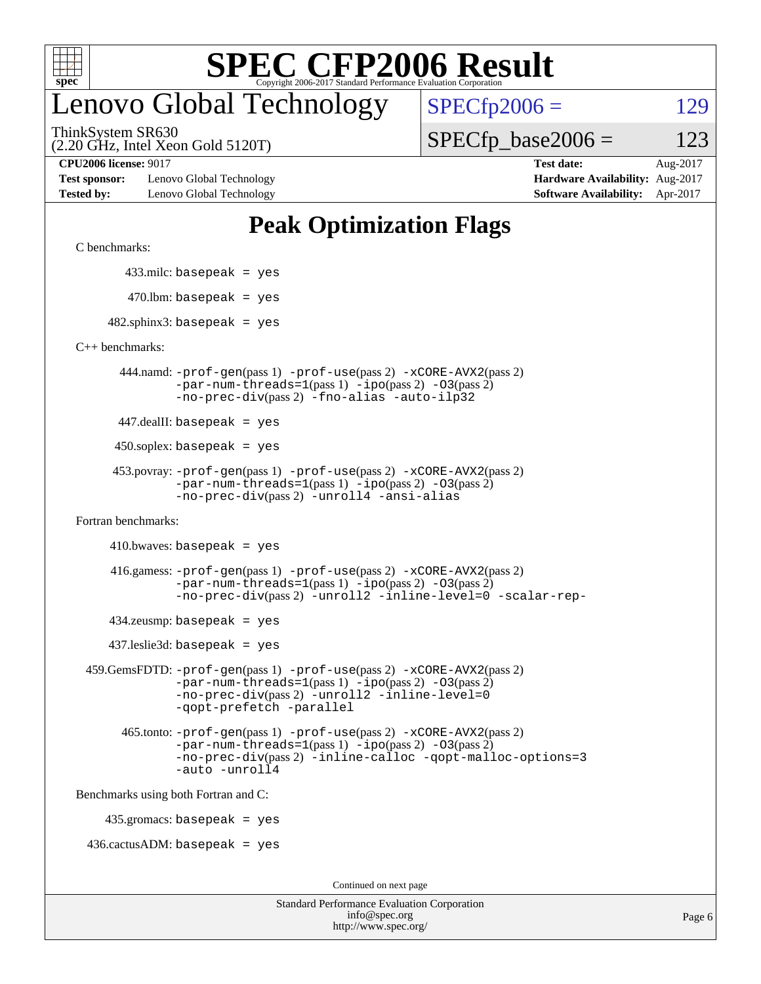

## enovo Global Technology

 $SPECfp2006 = 129$  $SPECfp2006 = 129$ 

(2.20 GHz, Intel Xeon Gold 5120T) ThinkSystem SR630

 $SPECTp\_base2006 = 123$ 

**[Test sponsor:](http://www.spec.org/auto/cpu2006/Docs/result-fields.html#Testsponsor)** Lenovo Global Technology **[Hardware Availability:](http://www.spec.org/auto/cpu2006/Docs/result-fields.html#HardwareAvailability)** Aug-2017 **[Tested by:](http://www.spec.org/auto/cpu2006/Docs/result-fields.html#Testedby)** Lenovo Global Technology **[Software Availability:](http://www.spec.org/auto/cpu2006/Docs/result-fields.html#SoftwareAvailability)** Apr-2017

**[CPU2006 license:](http://www.spec.org/auto/cpu2006/Docs/result-fields.html#CPU2006license)** 9017 **[Test date:](http://www.spec.org/auto/cpu2006/Docs/result-fields.html#Testdate)** Aug-2017

#### **[Peak Optimization Flags](http://www.spec.org/auto/cpu2006/Docs/result-fields.html#PeakOptimizationFlags)**

[C benchmarks](http://www.spec.org/auto/cpu2006/Docs/result-fields.html#Cbenchmarks):

433.milc: basepeak = yes

 $470.$ lbm: basepeak = yes

 $482$ .sphinx3: basepeak = yes

[C++ benchmarks:](http://www.spec.org/auto/cpu2006/Docs/result-fields.html#CXXbenchmarks)

 444.namd: [-prof-gen](http://www.spec.org/cpu2006/results/res2017q4/cpu2006-20170918-49506.flags.html#user_peakPASS1_CXXFLAGSPASS1_LDFLAGS444_namd_prof_gen_e43856698f6ca7b7e442dfd80e94a8fc)(pass 1) [-prof-use](http://www.spec.org/cpu2006/results/res2017q4/cpu2006-20170918-49506.flags.html#user_peakPASS2_CXXFLAGSPASS2_LDFLAGS444_namd_prof_use_bccf7792157ff70d64e32fe3e1250b55)(pass 2) [-xCORE-AVX2](http://www.spec.org/cpu2006/results/res2017q4/cpu2006-20170918-49506.flags.html#user_peakPASS2_CXXFLAGSPASS2_LDFLAGS444_namd_f-xCORE-AVX2)(pass 2)  $-par-num-threads=1(pass 1) -ipo(pass 2) -O3(pass 2)$  $-par-num-threads=1(pass 1) -ipo(pass 2) -O3(pass 2)$  $-par-num-threads=1(pass 1) -ipo(pass 2) -O3(pass 2)$  $-par-num-threads=1(pass 1) -ipo(pass 2) -O3(pass 2)$  $-par-num-threads=1(pass 1) -ipo(pass 2) -O3(pass 2)$  $-par-num-threads=1(pass 1) -ipo(pass 2) -O3(pass 2)$ [-no-prec-div](http://www.spec.org/cpu2006/results/res2017q4/cpu2006-20170918-49506.flags.html#user_peakPASS2_CXXFLAGSPASS2_LDFLAGS444_namd_f-no-prec-div)(pass 2) [-fno-alias](http://www.spec.org/cpu2006/results/res2017q4/cpu2006-20170918-49506.flags.html#user_peakCXXOPTIMIZEOPTIMIZE444_namd_f-no-alias_694e77f6c5a51e658e82ccff53a9e63a) [-auto-ilp32](http://www.spec.org/cpu2006/results/res2017q4/cpu2006-20170918-49506.flags.html#user_peakCXXOPTIMIZE444_namd_f-auto-ilp32)

447.dealII: basepeak = yes

 $450$ .soplex: basepeak = yes

```
 453.povray: -prof-gen(pass 1) -prof-use(pass 2) -xCORE-AVX2(pass 2)
         -par-num-threads=1-ipo-O3(pass 2)-no-prec-div(pass 2) -unroll4 -ansi-alias
```
[Fortran benchmarks](http://www.spec.org/auto/cpu2006/Docs/result-fields.html#Fortranbenchmarks):

 $410.bwaves: basepeak = yes$ 

 416.gamess: [-prof-gen](http://www.spec.org/cpu2006/results/res2017q4/cpu2006-20170918-49506.flags.html#user_peakPASS1_FFLAGSPASS1_LDFLAGS416_gamess_prof_gen_e43856698f6ca7b7e442dfd80e94a8fc)(pass 1) [-prof-use](http://www.spec.org/cpu2006/results/res2017q4/cpu2006-20170918-49506.flags.html#user_peakPASS2_FFLAGSPASS2_LDFLAGS416_gamess_prof_use_bccf7792157ff70d64e32fe3e1250b55)(pass 2) [-xCORE-AVX2](http://www.spec.org/cpu2006/results/res2017q4/cpu2006-20170918-49506.flags.html#user_peakPASS2_FFLAGSPASS2_LDFLAGS416_gamess_f-xCORE-AVX2)(pass 2)  $-par-num-threads=1(pass 1) -ipo(pass 2) -O3(pass 2)$  $-par-num-threads=1(pass 1) -ipo(pass 2) -O3(pass 2)$  $-par-num-threads=1(pass 1) -ipo(pass 2) -O3(pass 2)$  $-par-num-threads=1(pass 1) -ipo(pass 2) -O3(pass 2)$  $-par-num-threads=1(pass 1) -ipo(pass 2) -O3(pass 2)$  $-par-num-threads=1(pass 1) -ipo(pass 2) -O3(pass 2)$ [-no-prec-div](http://www.spec.org/cpu2006/results/res2017q4/cpu2006-20170918-49506.flags.html#user_peakPASS2_FFLAGSPASS2_LDFLAGS416_gamess_f-no-prec-div)(pass 2) [-unroll2](http://www.spec.org/cpu2006/results/res2017q4/cpu2006-20170918-49506.flags.html#user_peakOPTIMIZE416_gamess_f-unroll_784dae83bebfb236979b41d2422d7ec2) [-inline-level=0](http://www.spec.org/cpu2006/results/res2017q4/cpu2006-20170918-49506.flags.html#user_peakOPTIMIZE416_gamess_f-inline-level_318d07a09274ad25e8d15dbfaa68ba50) [-scalar-rep-](http://www.spec.org/cpu2006/results/res2017q4/cpu2006-20170918-49506.flags.html#user_peakOPTIMIZE416_gamess_f-disablescalarrep_abbcad04450fb118e4809c81d83c8a1d)

 $434$ .zeusmp: basepeak = yes

437.leslie3d: basepeak = yes

```
 459.GemsFDTD: -prof-gen(pass 1) -prof-use(pass 2) -xCORE-AVX2(pass 2)
            -par-num-threads=1-ipo-O3(pass 2)-no-prec-div(pass 2) -unroll2 -inline-level=0
            -qopt-prefetch -parallel
```
 465.tonto: [-prof-gen](http://www.spec.org/cpu2006/results/res2017q4/cpu2006-20170918-49506.flags.html#user_peakPASS1_FFLAGSPASS1_LDFLAGS465_tonto_prof_gen_e43856698f6ca7b7e442dfd80e94a8fc)(pass 1) [-prof-use](http://www.spec.org/cpu2006/results/res2017q4/cpu2006-20170918-49506.flags.html#user_peakPASS2_FFLAGSPASS2_LDFLAGS465_tonto_prof_use_bccf7792157ff70d64e32fe3e1250b55)(pass 2) [-xCORE-AVX2](http://www.spec.org/cpu2006/results/res2017q4/cpu2006-20170918-49506.flags.html#user_peakPASS2_FFLAGSPASS2_LDFLAGS465_tonto_f-xCORE-AVX2)(pass 2)  $-par-num-threads=1(pass 1) -ipo(pass 2) -O3(pass 2)$  $-par-num-threads=1(pass 1) -ipo(pass 2) -O3(pass 2)$  $-par-num-threads=1(pass 1) -ipo(pass 2) -O3(pass 2)$  $-par-num-threads=1(pass 1) -ipo(pass 2) -O3(pass 2)$  $-par-num-threads=1(pass 1) -ipo(pass 2) -O3(pass 2)$  $-par-num-threads=1(pass 1) -ipo(pass 2) -O3(pass 2)$ [-no-prec-div](http://www.spec.org/cpu2006/results/res2017q4/cpu2006-20170918-49506.flags.html#user_peakPASS2_FFLAGSPASS2_LDFLAGS465_tonto_f-no-prec-div)(pass 2) [-inline-calloc](http://www.spec.org/cpu2006/results/res2017q4/cpu2006-20170918-49506.flags.html#user_peakOPTIMIZE465_tonto_f-inline-calloc) [-qopt-malloc-options=3](http://www.spec.org/cpu2006/results/res2017q4/cpu2006-20170918-49506.flags.html#user_peakOPTIMIZE465_tonto_f-qopt-malloc-options_0fcb435012e78f27d57f473818e45fe4) [-auto](http://www.spec.org/cpu2006/results/res2017q4/cpu2006-20170918-49506.flags.html#user_peakOPTIMIZE465_tonto_f-auto) [-unroll4](http://www.spec.org/cpu2006/results/res2017q4/cpu2006-20170918-49506.flags.html#user_peakOPTIMIZE465_tonto_f-unroll_4e5e4ed65b7fd20bdcd365bec371b81f)

[Benchmarks using both Fortran and C](http://www.spec.org/auto/cpu2006/Docs/result-fields.html#BenchmarksusingbothFortranandC):

435.gromacs: basepeak = yes

 $436.cactusADM:basepeak = yes$ 

Continued on next page

| <b>Standard Performance Evaluation Corporation</b> |
|----------------------------------------------------|
| info@spec.org                                      |
| http://www.spec.org/                               |